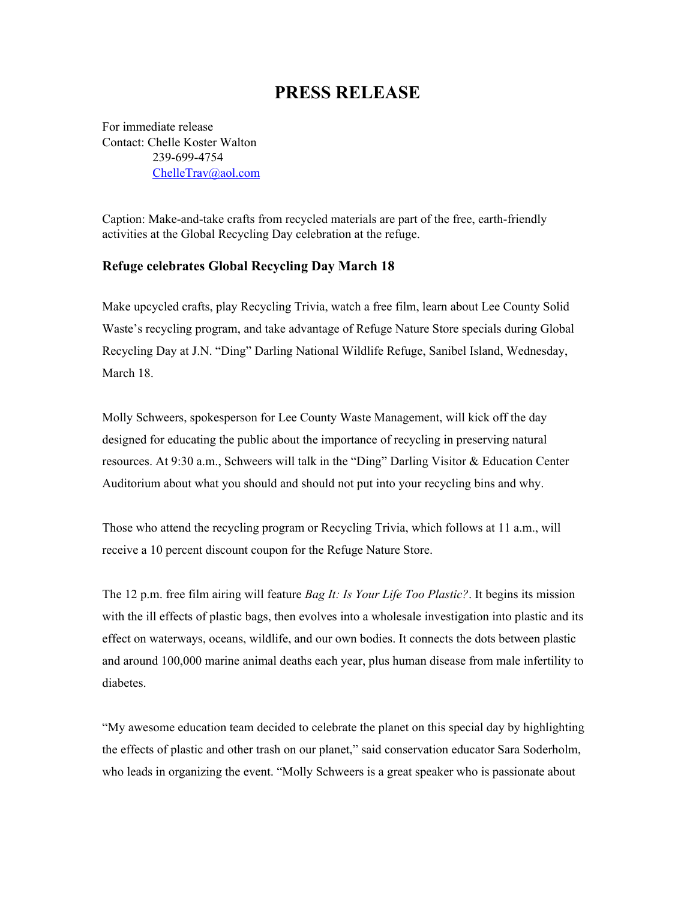## **PRESS RELEASE**

For immediate release Contact: Chelle Koster Walton 239-699-4754 [ChelleTrav@aol.com](mailto:ChelleTrav@aol.com)

Caption: Make-and-take crafts from recycled materials are part of the free, earth-friendly activities at the Global Recycling Day celebration at the refuge.

## **Refuge celebrates Global Recycling Day March 18**

Make upcycled crafts, play Recycling Trivia, watch a free film, learn about Lee County Solid Waste's recycling program, and take advantage of Refuge Nature Store specials during Global Recycling Day at J.N. "Ding" Darling National Wildlife Refuge, Sanibel Island, Wednesday, March 18.

Molly Schweers, spokesperson for Lee County Waste Management, will kick off the day designed for educating the public about the importance of recycling in preserving natural resources. At 9:30 a.m., Schweers will talk in the "Ding" Darling Visitor & Education Center Auditorium about what you should and should not put into your recycling bins and why.

Those who attend the recycling program or Recycling Trivia, which follows at 11 a.m., will receive a 10 percent discount coupon for the Refuge Nature Store.

The 12 p.m. free film airing will feature *Bag It: Is Your Life Too Plastic?*. It begins its mission with the ill effects of plastic bags, then evolves into a wholesale investigation into plastic and its effect on waterways, oceans, wildlife, and our own bodies. It connects the dots between plastic and around 100,000 marine animal deaths each year, plus human disease from male infertility to diabetes.

"My awesome education team decided to celebrate the planet on this special day by highlighting the effects of plastic and other trash on our planet," said conservation educator Sara Soderholm, who leads in organizing the event. "Molly Schweers is a great speaker who is passionate about